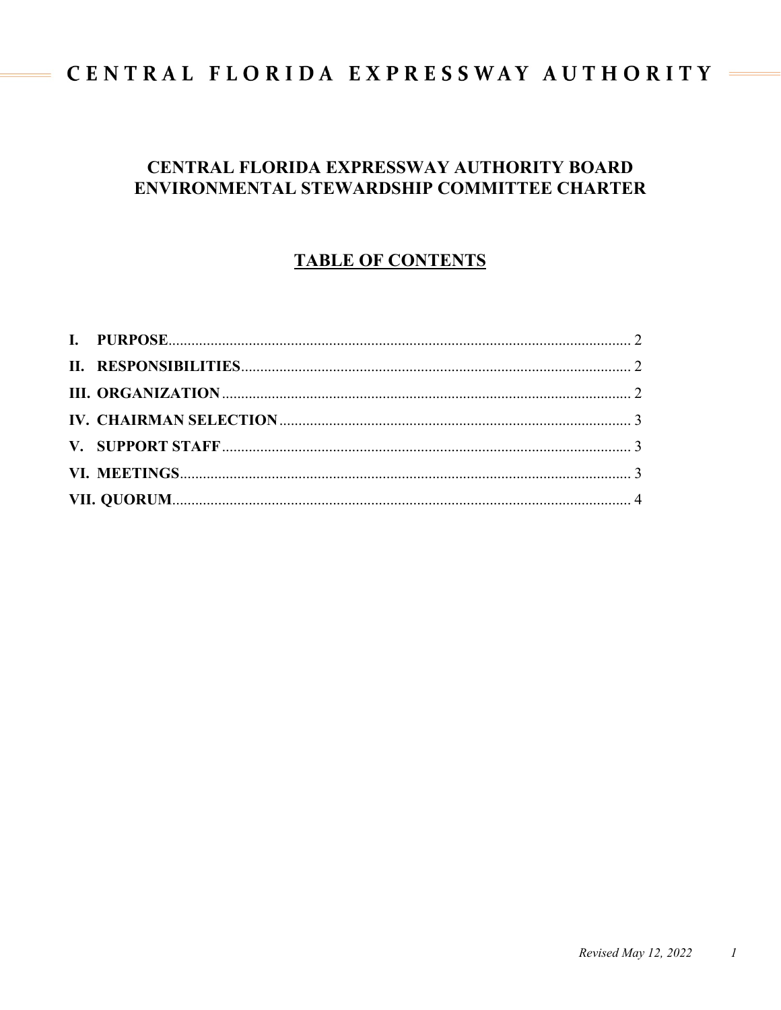# CENTRAL FLORIDA EXPRESSWAY AUTHORITY

 $\equiv$ 

# **CENTRAL FLORIDA EXPRESSWAY AUTHORITY BOARD ENVIRONMENTAL STEWARDSHIP COMMITTEE CHARTER**

# **TABLE OF CONTENTS**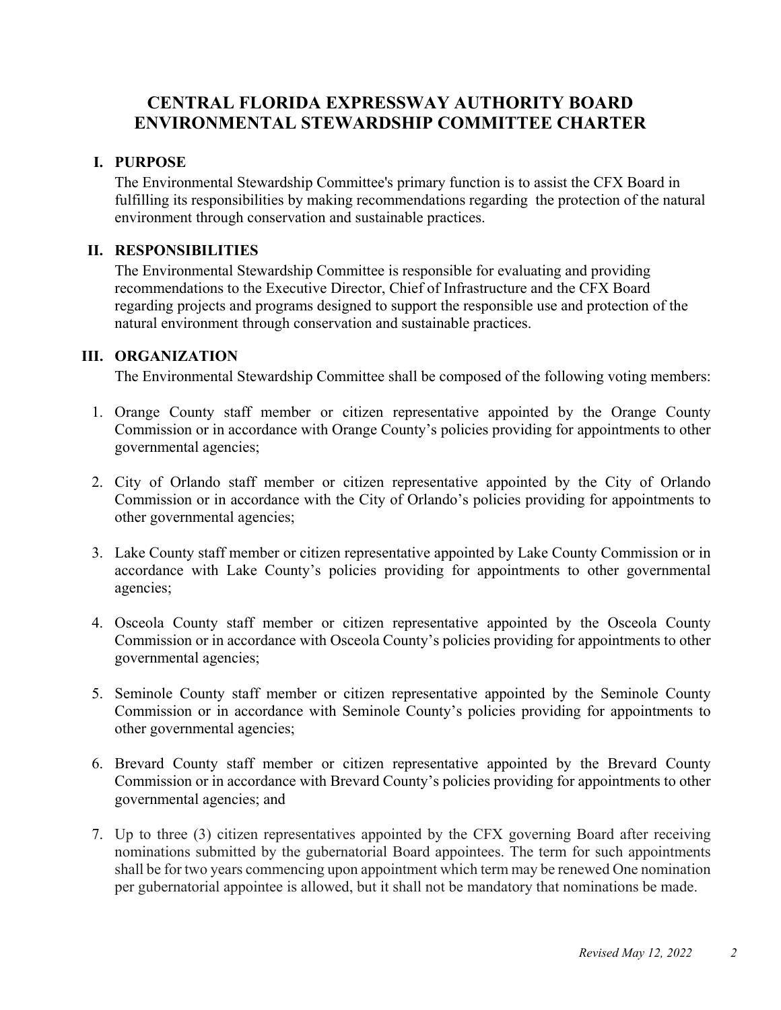## **CENTRAL FLORIDA EXPRESSWAY AUTHORITY BOARD ENVIRONMENTAL STEWARDSHIP COMMITTEE CHARTER**

#### <span id="page-1-0"></span>**I. PURPOSE**

The Environmental Stewardship Committee's primary function is to assist the CFX Board in fulfilling its responsibilities by making recommendations regarding the protection of the natural environment through conservation and sustainable practices.

#### <span id="page-1-1"></span>**II. RESPONSIBILITIES**

The Environmental Stewardship Committee is responsible for evaluating and providing recommendations to the Executive Director, Chief of Infrastructure and the CFX Board regarding projects and programs designed to support the responsible use and protection of the natural environment through conservation and sustainable practices.

#### <span id="page-1-2"></span>**III. ORGANIZATION**

The Environmental Stewardship Committee shall be composed of the following voting members:

- 1. Orange County staff member or citizen representative appointed by the Orange County Commission or in accordance with Orange County's policies providing for appointments to other governmental agencies;
- 2. City of Orlando staff member or citizen representative appointed by the City of Orlando Commission or in accordance with the City of Orlando's policies providing for appointments to other governmental agencies;
- 3. Lake County staff member or citizen representative appointed by Lake County Commission or in accordance with Lake County's policies providing for appointments to other governmental agencies;
- 4. Osceola County staff member or citizen representative appointed by the Osceola County Commission or in accordance with Osceola County's policies providing for appointments to other governmental agencies;
- 5. Seminole County staff member or citizen representative appointed by the Seminole County Commission or in accordance with Seminole County's policies providing for appointments to other governmental agencies;
- 6. Brevard County staff member or citizen representative appointed by the Brevard County Commission or in accordance with Brevard County's policies providing for appointments to other governmental agencies; and
- 7. Up to three (3) citizen representatives appointed by the CFX governing Board after receiving nominations submitted by the gubernatorial Board appointees. The term for such appointments shall be for two years commencing upon appointment which term may be renewed One nomination per gubernatorial appointee is allowed, but it shall not be mandatory that nominations be made.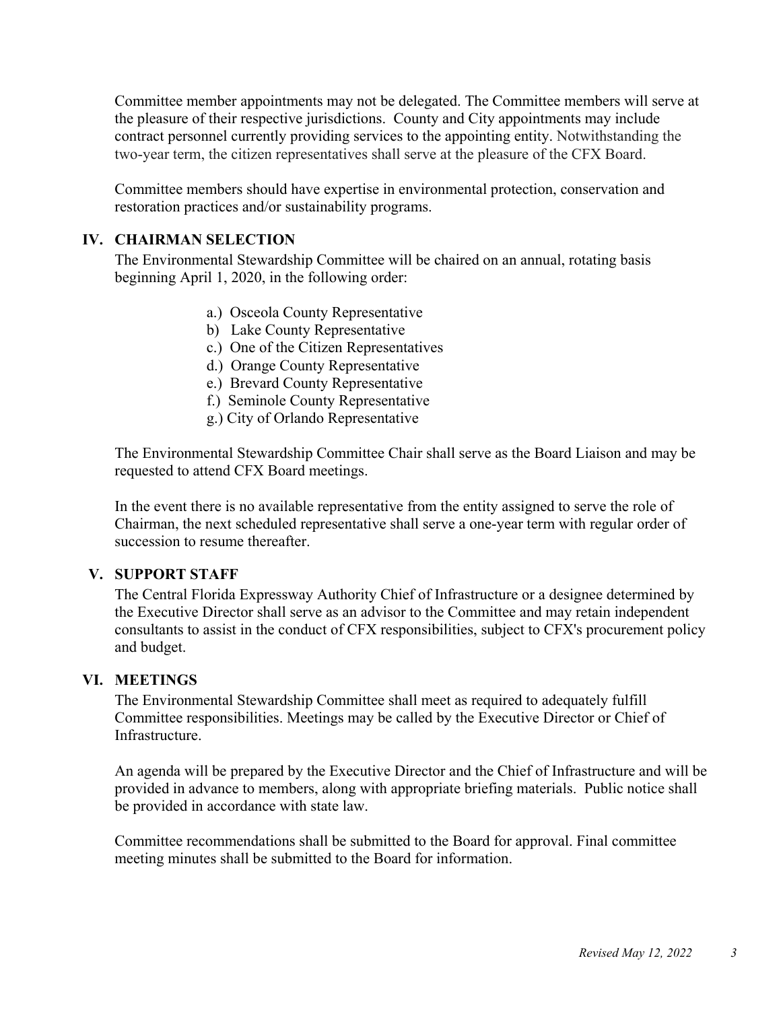Committee member appointments may not be delegated. The Committee members will serve at the pleasure of their respective jurisdictions. County and City appointments may include contract personnel currently providing services to the appointing entity. Notwithstanding the two-year term, the citizen representatives shall serve at the pleasure of the CFX Board.

Committee members should have expertise in environmental protection, conservation and restoration practices and/or sustainability programs.

### <span id="page-2-0"></span>**IV. CHAIRMAN SELECTION**

The Environmental Stewardship Committee will be chaired on an annual, rotating basis beginning April 1, 2020, in the following order:

- a.) Osceola County Representative
- b) Lake County Representative
- c.) One of the Citizen Representatives
- d.) Orange County Representative
- e.) Brevard County Representative
- f.) Seminole County Representative
- g.) City of Orlando Representative

The Environmental Stewardship Committee Chair shall serve as the Board Liaison and may be requested to attend CFX Board meetings.

In the event there is no available representative from the entity assigned to serve the role of Chairman, the next scheduled representative shall serve a one-year term with regular order of succession to resume thereafter.

### <span id="page-2-1"></span>**V. SUPPORT STAFF**

The Central Florida Expressway Authority Chief of Infrastructure or a designee determined by the Executive Director shall serve as an advisor to the Committee and may retain independent consultants to assist in the conduct of CFX responsibilities, subject to CFX's procurement policy and budget.

### <span id="page-2-2"></span>**VI. MEETINGS**

The Environmental Stewardship Committee shall meet as required to adequately fulfill Committee responsibilities. Meetings may be called by the Executive Director or Chief of Infrastructure.

An agenda will be prepared by the Executive Director and the Chief of Infrastructure and will be provided in advance to members, along with appropriate briefing materials. Public notice shall be provided in accordance with state law.

Committee recommendations shall be submitted to the Board for approval. Final committee meeting minutes shall be submitted to the Board for information.